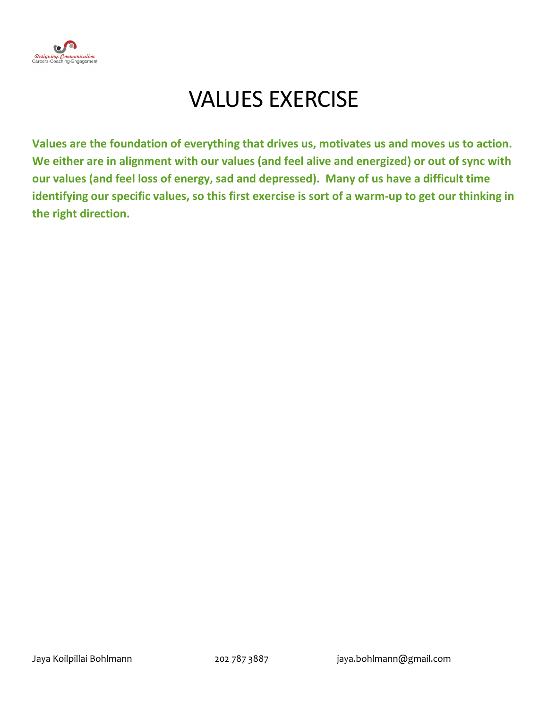

## VALUES EXERCISE

**Values are the foundation of everything that drives us, motivates us and moves us to action. We either are in alignment with our values (and feel alive and energized) or out of sync with our values (and feel loss of energy, sad and depressed). Many of us have a difficult time identifying our specific values, so this first exercise is sort of a warm-up to get our thinking in the right direction.**